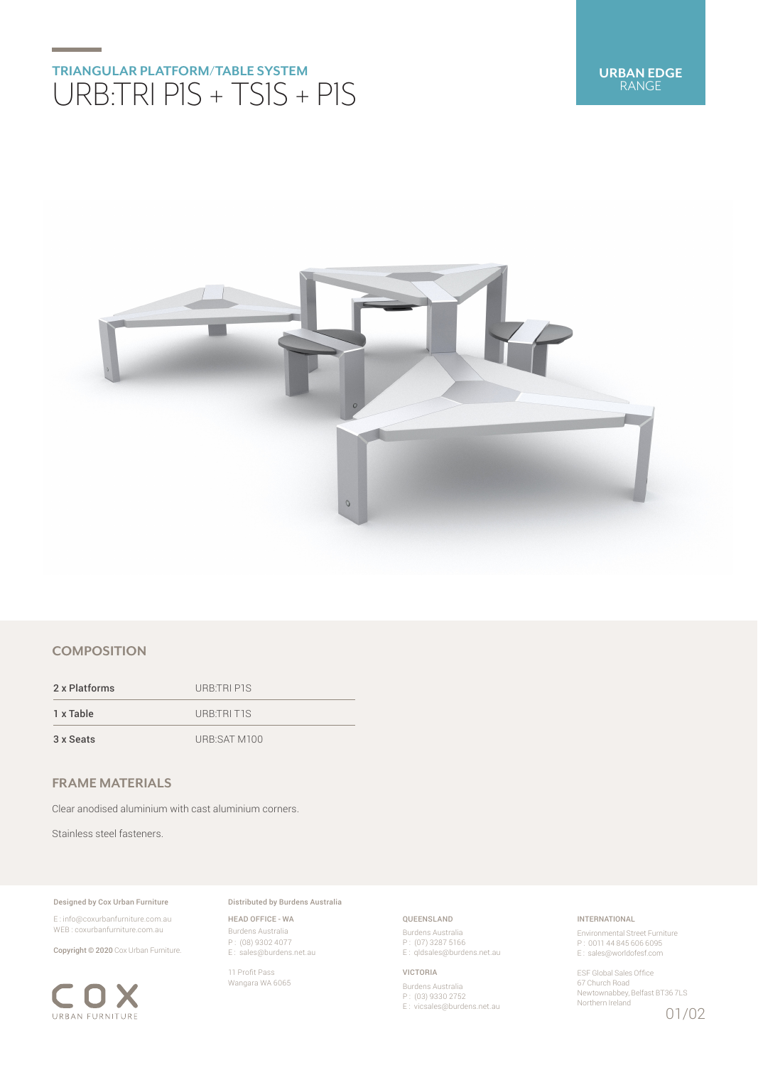# **TRIANGULAR PLATFORM/TABLE SYSTEM** URB:TRI P1S + TS1S + P1S



## **COMPOSITION**

2 x Platforms URB:TRI P1S 1 x Table URB:TRI T1S 3 x Seats URB:SAT M100

# **FRAME MATERIALS**

Clear anodised aluminium with cast aluminium corners.

Stainless steel fasteners.

#### Designed by Cox Urban Furniture

E : info@coxurbanfurniture.com.au WEB : coxurbanfurniture.com.au

Copyright © 2020 Cox Urban Furniture.



Distributed by Burdens Australia

HEAD OFFICE - WA Burdens Australia P : (08) 9302 4077 E : sales@burdens.net.au

11 Profit Pass Wangara WA 6065

## QUEENSLAND

Burdens Australia P : (07) 3287 5166 E: qldsales@burdens.net.au

#### VICTORIA

Burdens Australia P : (03) 9330 2752 E : vicsales@burdens.net.au

## INTERNATIONAL

Environmental Street Furniture P : 0011 44 845 606 6095 E : sales@worldofesf.com

ESF Global Sales Office 67 Church Road Newtownabbey, Belfast BT36 7LS Northern Ireland

01/02